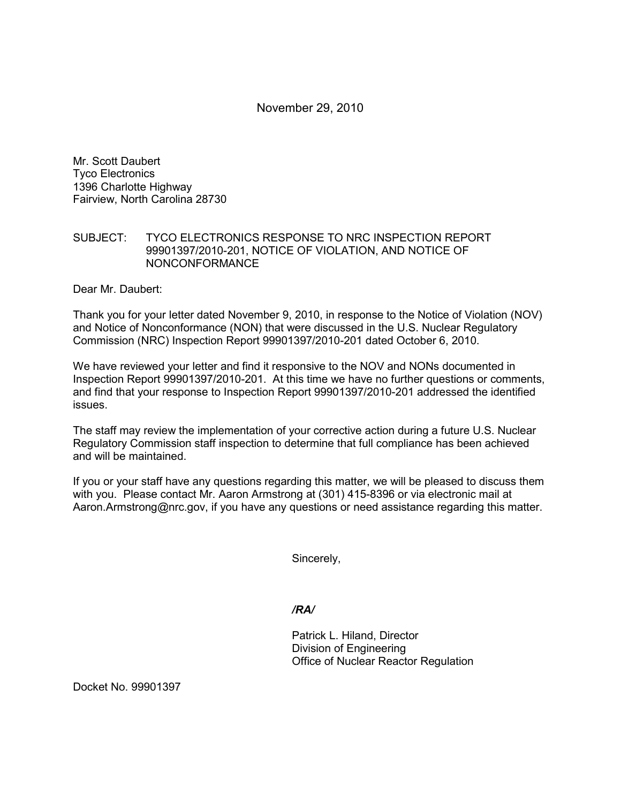November 29, 2010

Mr. Scott Daubert Tyco Electronics 1396 Charlotte Highway Fairview, North Carolina 28730

## SUBJECT: TYCO ELECTRONICS RESPONSE TO NRC INSPECTION REPORT 99901397/2010-201, NOTICE OF VIOLATION, AND NOTICE OF NONCONFORMANCE

Dear Mr. Daubert:

Thank you for your letter dated November 9, 2010, in response to the Notice of Violation (NOV) and Notice of Nonconformance (NON) that were discussed in the U.S. Nuclear Regulatory Commission (NRC) Inspection Report 99901397/2010-201 dated October 6, 2010.

We have reviewed your letter and find it responsive to the NOV and NONs documented in Inspection Report 99901397/2010-201. At this time we have no further questions or comments, and find that your response to Inspection Report 99901397/2010-201 addressed the identified issues.

The staff may review the implementation of your corrective action during a future U.S. Nuclear Regulatory Commission staff inspection to determine that full compliance has been achieved and will be maintained.

If you or your staff have any questions regarding this matter, we will be pleased to discuss them with you. Please contact Mr. Aaron Armstrong at (301) 415-8396 or via electronic mail at Aaron.Armstrong@nrc.gov, if you have any questions or need assistance regarding this matter.

Sincerely,

*/RA/* 

Patrick L. Hiland, Director Division of Engineering Office of Nuclear Reactor Regulation

Docket No. 99901397